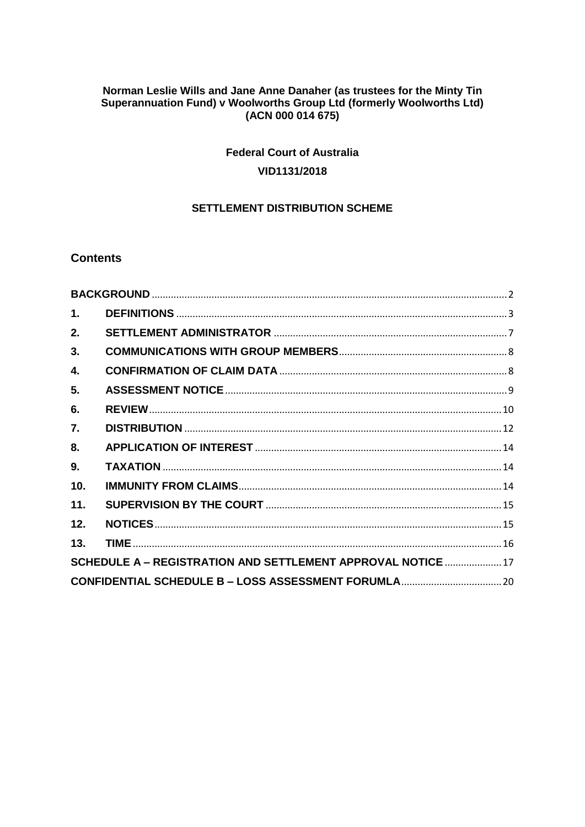# Norman Leslie Wills and Jane Anne Danaher (as trustees for the Minty Tin<br>Superannuation Fund) v Woolworths Group Ltd (formerly Woolworths Ltd) (ACN 000 014 675)

# **Federal Court of Australia** VID1131/2018

## **SETTLEMENT DISTRIBUTION SCHEME**

## **Contents**

| 1.               |                                                              |  |
|------------------|--------------------------------------------------------------|--|
| 2.               |                                                              |  |
| 3.               |                                                              |  |
| 4.               |                                                              |  |
| 5.               |                                                              |  |
| 6.               |                                                              |  |
| $\overline{7}$ . |                                                              |  |
| 8.               |                                                              |  |
| 9.               |                                                              |  |
| 10 <sub>1</sub>  |                                                              |  |
| 11.              |                                                              |  |
| 12.              |                                                              |  |
| 13.              |                                                              |  |
|                  | SCHEDULE A - REGISTRATION AND SETTLEMENT APPROVAL NOTICE  17 |  |
|                  |                                                              |  |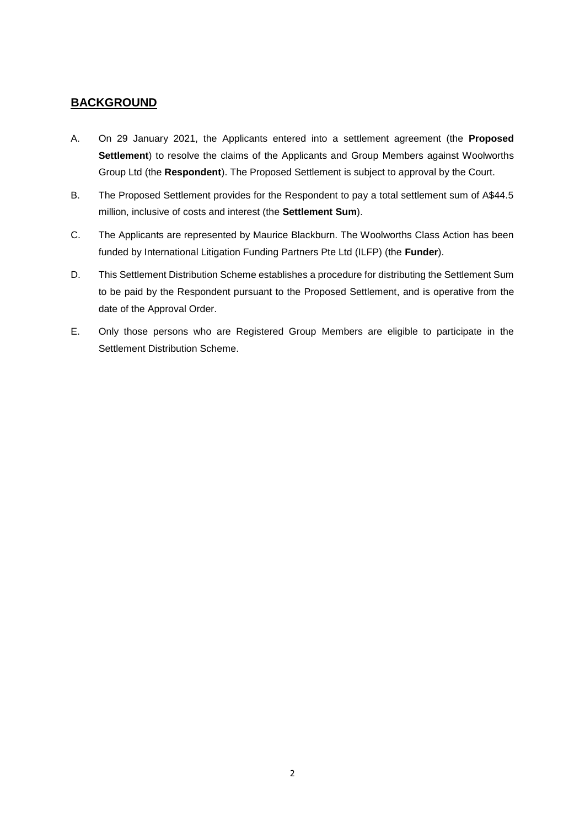## <span id="page-1-0"></span>**BACKGROUND**

- A. On 29 January 2021, the Applicants entered into a settlement agreement (the **Proposed Settlement**) to resolve the claims of the Applicants and Group Members against Woolworths Group Ltd (the **Respondent**). The Proposed Settlement is subject to approval by the Court.
- B. The Proposed Settlement provides for the Respondent to pay a total settlement sum of A\$44.5 million, inclusive of costs and interest (the **Settlement Sum**).
- C. The Applicants are represented by Maurice Blackburn. The Woolworths Class Action has been funded by International Litigation Funding Partners Pte Ltd (ILFP) (the **Funder**).
- D. This Settlement Distribution Scheme establishes a procedure for distributing the Settlement Sum to be paid by the Respondent pursuant to the Proposed Settlement, and is operative from the date of the Approval Order.
- E. Only those persons who are Registered Group Members are eligible to participate in the Settlement Distribution Scheme.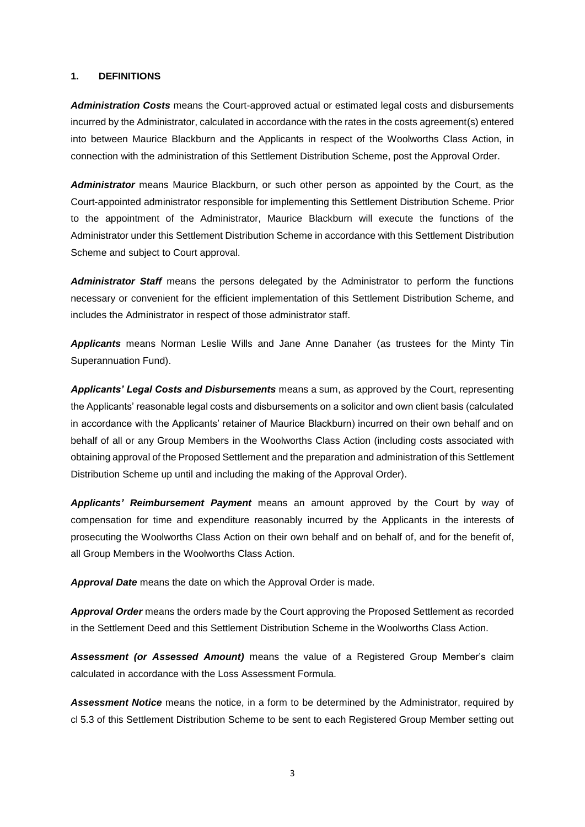#### <span id="page-2-0"></span>**1. DEFINITIONS**

*Administration Costs* means the Court-approved actual or estimated legal costs and disbursements incurred by the Administrator, calculated in accordance with the rates in the costs agreement(s) entered into between Maurice Blackburn and the Applicants in respect of the Woolworths Class Action, in connection with the administration of this Settlement Distribution Scheme, post the Approval Order.

*Administrator* means Maurice Blackburn, or such other person as appointed by the Court, as the Court-appointed administrator responsible for implementing this Settlement Distribution Scheme. Prior to the appointment of the Administrator, Maurice Blackburn will execute the functions of the Administrator under this Settlement Distribution Scheme in accordance with this Settlement Distribution Scheme and subject to Court approval.

*Administrator Staff* means the persons delegated by the Administrator to perform the functions necessary or convenient for the efficient implementation of this Settlement Distribution Scheme, and includes the Administrator in respect of those administrator staff.

*Applicants* means Norman Leslie Wills and Jane Anne Danaher (as trustees for the Minty Tin Superannuation Fund).

*Applicants' Legal Costs and Disbursements* means a sum, as approved by the Court, representing the Applicants' reasonable legal costs and disbursements on a solicitor and own client basis (calculated in accordance with the Applicants' retainer of Maurice Blackburn) incurred on their own behalf and on behalf of all or any Group Members in the Woolworths Class Action (including costs associated with obtaining approval of the Proposed Settlement and the preparation and administration of this Settlement Distribution Scheme up until and including the making of the Approval Order).

*Applicants' Reimbursement Payment* means an amount approved by the Court by way of compensation for time and expenditure reasonably incurred by the Applicants in the interests of prosecuting the Woolworths Class Action on their own behalf and on behalf of, and for the benefit of, all Group Members in the Woolworths Class Action.

*Approval Date* means the date on which the Approval Order is made.

*Approval Order* means the orders made by the Court approving the Proposed Settlement as recorded in the Settlement Deed and this Settlement Distribution Scheme in the Woolworths Class Action.

*Assessment (or Assessed Amount)* means the value of a Registered Group Member's claim calculated in accordance with the Loss Assessment Formula.

*Assessment Notice* means the notice, in a form to be determined by the Administrator, required by cl [5.3](#page-8-1) of this Settlement Distribution Scheme to be sent to each Registered Group Member setting out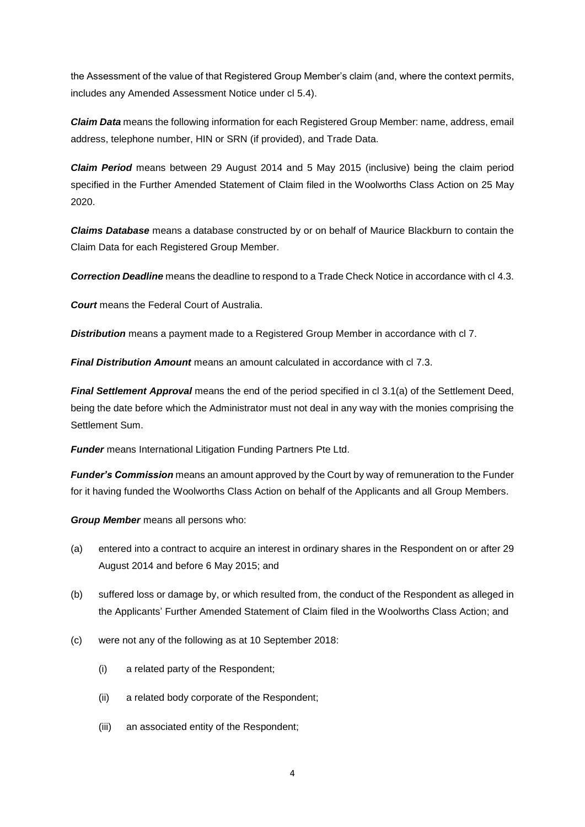the Assessment of the value of that Registered Group Member's claim (and, where the context permits, includes any Amended Assessment Notice under cl [5.4\)](#page-9-1).

*Claim Data* means the following information for each Registered Group Member: name, address, email address, telephone number, HIN or SRN (if provided), and Trade Data.

*Claim Period* means between 29 August 2014 and 5 May 2015 (inclusive) being the claim period specified in the Further Amended Statement of Claim filed in the Woolworths Class Action on 25 May 2020.

*Claims Database* means a database constructed by or on behalf of Maurice Blackburn to contain the Claim Data for each Registered Group Member.

*Correction Deadline* means the deadline to respond to a Trade Check Notice in accordance with cl [4.3.](#page-7-2)

*Court* means the Federal Court of Australia.

*Distribution* means a payment made to a Registered Group Member in accordance with cl [7.](#page-11-0)

*Final Distribution Amount* means an amount calculated in accordance with cl [7.3.](#page-11-1)

*Final Settlement Approval* means the end of the period specified in cl 3.1(a) of the Settlement Deed, being the date before which the Administrator must not deal in any way with the monies comprising the Settlement Sum.

*Funder* means International Litigation Funding Partners Pte Ltd.

*Funder's Commission* means an amount approved by the Court by way of remuneration to the Funder for it having funded the Woolworths Class Action on behalf of the Applicants and all Group Members.

*Group Member* means all persons who:

- (a) entered into a contract to acquire an interest in ordinary shares in the Respondent on or after 29 August 2014 and before 6 May 2015; and
- (b) suffered loss or damage by, or which resulted from, the conduct of the Respondent as alleged in the Applicants' Further Amended Statement of Claim filed in the Woolworths Class Action; and
- (c) were not any of the following as at 10 September 2018:
	- (i) a related party of the Respondent;
	- (ii) a related body corporate of the Respondent;
	- (iii) an associated entity of the Respondent;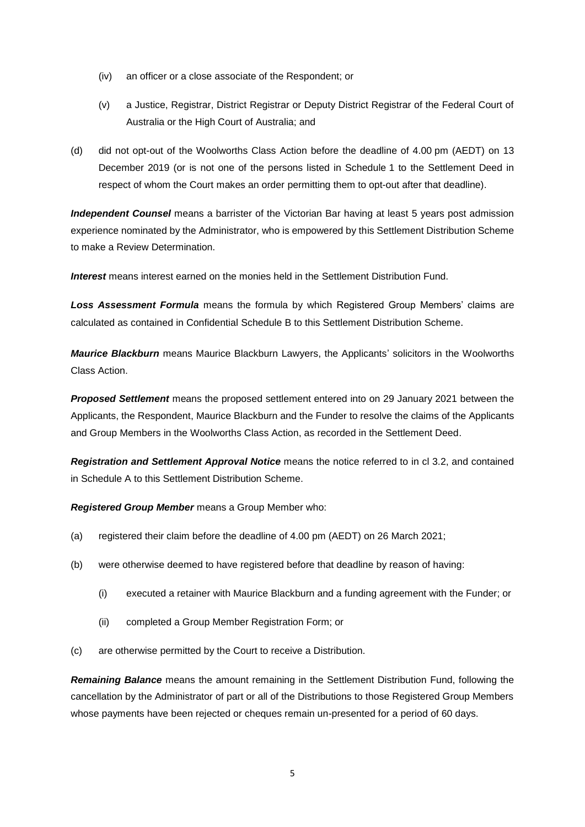- (iv) an officer or a close associate of the Respondent; or
- (v) a Justice, Registrar, District Registrar or Deputy District Registrar of the Federal Court of Australia or the High Court of Australia; and
- (d) did not opt-out of the Woolworths Class Action before the deadline of 4.00 pm (AEDT) on 13 December 2019 (or is not one of the persons listed in Schedule 1 to the Settlement Deed in respect of whom the Court makes an order permitting them to opt-out after that deadline).

*Independent Counsel* means a barrister of the Victorian Bar having at least 5 years post admission experience nominated by the Administrator, who is empowered by this Settlement Distribution Scheme to make a Review Determination.

*Interest* means interest earned on the monies held in the Settlement Distribution Fund.

*Loss Assessment Formula* means the formula by which Registered Group Members' claims are calculated as contained in Confidential Schedule B to this Settlement Distribution Scheme.

*Maurice Blackburn* means Maurice Blackburn Lawyers, the Applicants' solicitors in the Woolworths Class Action.

*Proposed Settlement* means the proposed settlement entered into on 29 January 2021 between the Applicants, the Respondent, Maurice Blackburn and the Funder to resolve the claims of the Applicants and Group Members in the Woolworths Class Action, as recorded in the Settlement Deed.

*Registration and Settlement Approval Notice* means the notice referred to in cl [3.2,](#page-7-3) and contained in Schedule A to this Settlement Distribution Scheme.

*Registered Group Member* means a Group Member who:

- (a) registered their claim before the deadline of 4.00 pm (AEDT) on 26 March 2021;
- (b) were otherwise deemed to have registered before that deadline by reason of having:
	- (i) executed a retainer with Maurice Blackburn and a funding agreement with the Funder; or
	- (ii) completed a Group Member Registration Form; or
- (c) are otherwise permitted by the Court to receive a Distribution.

*Remaining Balance* means the amount remaining in the Settlement Distribution Fund, following the cancellation by the Administrator of part or all of the Distributions to those Registered Group Members whose payments have been rejected or cheques remain un-presented for a period of 60 days.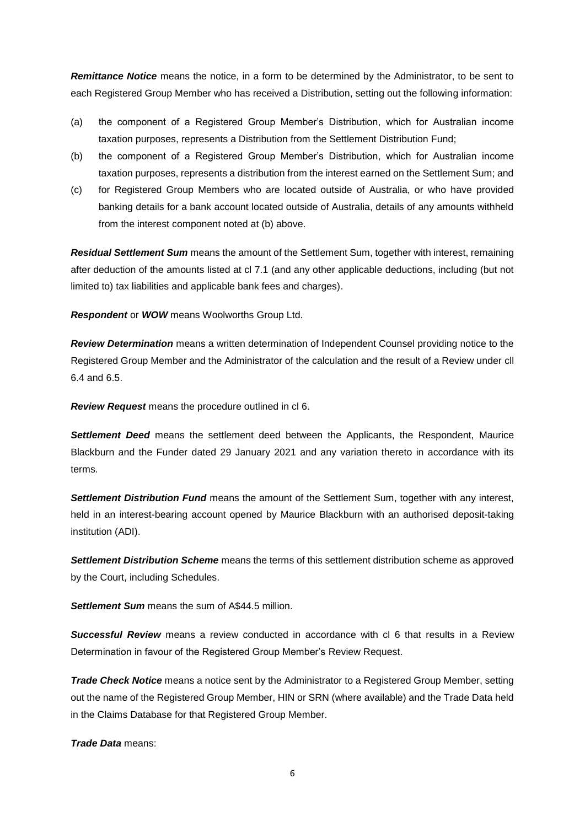*Remittance Notice* means the notice, in a form to be determined by the Administrator, to be sent to each Registered Group Member who has received a Distribution, setting out the following information:

- (a) the component of a Registered Group Member's Distribution, which for Australian income taxation purposes, represents a Distribution from the Settlement Distribution Fund;
- (b) the component of a Registered Group Member's Distribution, which for Australian income taxation purposes, represents a distribution from the interest earned on the Settlement Sum; and
- (c) for Registered Group Members who are located outside of Australia, or who have provided banking details for a bank account located outside of Australia, details of any amounts withheld from the interest component noted at (b) above.

*Residual Settlement Sum* means the amount of the Settlement Sum, together with interest, remaining after deduction of the amounts listed at cl [7.1](#page-11-2) (and any other applicable deductions, including (but not limited to) tax liabilities and applicable bank fees and charges).

*Respondent* or *WOW* means Woolworths Group Ltd.

*Review Determination* means a written determination of Independent Counsel providing notice to the Registered Group Member and the Administrator of the calculation and the result of a Review under cll [6.4](#page-10-0) and [6.5.](#page-10-1)

*Review Request* means the procedure outlined in cl [6.](#page-9-0)

**Settlement Deed** means the settlement deed between the Applicants, the Respondent, Maurice Blackburn and the Funder dated 29 January 2021 and any variation thereto in accordance with its terms.

*Settlement Distribution Fund* means the amount of the Settlement Sum, together with any interest, held in an interest-bearing account opened by Maurice Blackburn with an authorised deposit-taking institution (ADI).

*Settlement Distribution Scheme* means the terms of this settlement distribution scheme as approved by the Court, including Schedules.

*Settlement Sum* means the sum of A\$44.5 million.

*Successful Review* means a review conducted in accordance with cl [6](#page-9-0) that results in a Review Determination in favour of the Registered Group Member's Review Request.

*Trade Check Notice* means a notice sent by the Administrator to a Registered Group Member, setting out the name of the Registered Group Member, HIN or SRN (where available) and the Trade Data held in the Claims Database for that Registered Group Member.

*Trade Data* means: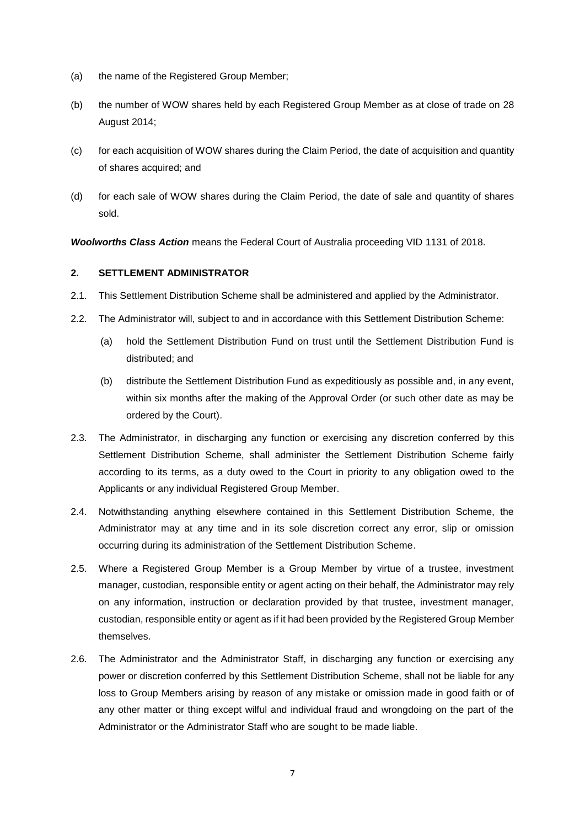- (a) the name of the Registered Group Member;
- (b) the number of WOW shares held by each Registered Group Member as at close of trade on 28 August 2014;
- (c) for each acquisition of WOW shares during the Claim Period, the date of acquisition and quantity of shares acquired; and
- (d) for each sale of WOW shares during the Claim Period, the date of sale and quantity of shares sold.

*Woolworths Class Action* means the Federal Court of Australia proceeding VID 1131 of 2018.

#### <span id="page-6-0"></span>**2. SETTLEMENT ADMINISTRATOR**

- 2.1. This Settlement Distribution Scheme shall be administered and applied by the Administrator.
- 2.2. The Administrator will, subject to and in accordance with this Settlement Distribution Scheme:
	- (a) hold the Settlement Distribution Fund on trust until the Settlement Distribution Fund is distributed; and
	- (b) distribute the Settlement Distribution Fund as expeditiously as possible and, in any event, within six months after the making of the Approval Order (or such other date as may be ordered by the Court).
- 2.3. The Administrator, in discharging any function or exercising any discretion conferred by this Settlement Distribution Scheme, shall administer the Settlement Distribution Scheme fairly according to its terms, as a duty owed to the Court in priority to any obligation owed to the Applicants or any individual Registered Group Member.
- 2.4. Notwithstanding anything elsewhere contained in this Settlement Distribution Scheme, the Administrator may at any time and in its sole discretion correct any error, slip or omission occurring during its administration of the Settlement Distribution Scheme.
- 2.5. Where a Registered Group Member is a Group Member by virtue of a trustee, investment manager, custodian, responsible entity or agent acting on their behalf, the Administrator may rely on any information, instruction or declaration provided by that trustee, investment manager, custodian, responsible entity or agent as if it had been provided by the Registered Group Member themselves.
- 2.6. The Administrator and the Administrator Staff, in discharging any function or exercising any power or discretion conferred by this Settlement Distribution Scheme, shall not be liable for any loss to Group Members arising by reason of any mistake or omission made in good faith or of any other matter or thing except wilful and individual fraud and wrongdoing on the part of the Administrator or the Administrator Staff who are sought to be made liable.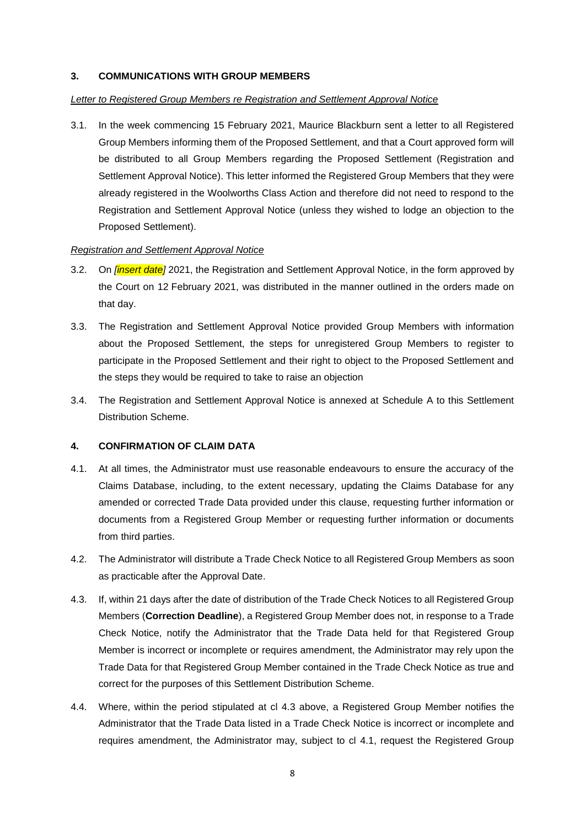#### <span id="page-7-0"></span>**3. COMMUNICATIONS WITH GROUP MEMBERS**

#### *Letter to Registered Group Members re Registration and Settlement Approval Notice*

3.1. In the week commencing 15 February 2021, Maurice Blackburn sent a letter to all Registered Group Members informing them of the Proposed Settlement, and that a Court approved form will be distributed to all Group Members regarding the Proposed Settlement (Registration and Settlement Approval Notice). This letter informed the Registered Group Members that they were already registered in the Woolworths Class Action and therefore did not need to respond to the Registration and Settlement Approval Notice (unless they wished to lodge an objection to the Proposed Settlement).

#### *Registration and Settlement Approval Notice*

- <span id="page-7-3"></span>3.2. On *[insert date]* 2021, the Registration and Settlement Approval Notice, in the form approved by the Court on 12 February 2021, was distributed in the manner outlined in the orders made on that day.
- 3.3. The Registration and Settlement Approval Notice provided Group Members with information about the Proposed Settlement, the steps for unregistered Group Members to register to participate in the Proposed Settlement and their right to object to the Proposed Settlement and the steps they would be required to take to raise an objection
- 3.4. The Registration and Settlement Approval Notice is annexed at Schedule A to this Settlement Distribution Scheme.

#### <span id="page-7-1"></span>**4. CONFIRMATION OF CLAIM DATA**

- <span id="page-7-5"></span>4.1. At all times, the Administrator must use reasonable endeavours to ensure the accuracy of the Claims Database, including, to the extent necessary, updating the Claims Database for any amended or corrected Trade Data provided under this clause, requesting further information or documents from a Registered Group Member or requesting further information or documents from third parties.
- 4.2. The Administrator will distribute a Trade Check Notice to all Registered Group Members as soon as practicable after the Approval Date.
- <span id="page-7-4"></span><span id="page-7-2"></span>4.3. If, within 21 days after the date of distribution of the Trade Check Notices to all Registered Group Members (**Correction Deadline**), a Registered Group Member does not, in response to a Trade Check Notice, notify the Administrator that the Trade Data held for that Registered Group Member is incorrect or incomplete or requires amendment, the Administrator may rely upon the Trade Data for that Registered Group Member contained in the Trade Check Notice as true and correct for the purposes of this Settlement Distribution Scheme.
- 4.4. Where, within the period stipulated at cl [4.3](#page-7-4) above, a Registered Group Member notifies the Administrator that the Trade Data listed in a Trade Check Notice is incorrect or incomplete and requires amendment, the Administrator may, subject to cl [4.1,](#page-7-5) request the Registered Group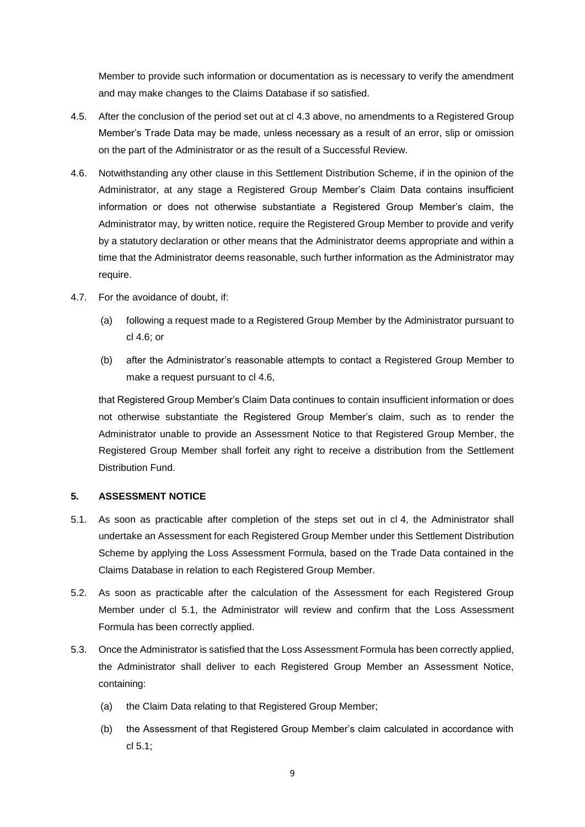Member to provide such information or documentation as is necessary to verify the amendment and may make changes to the Claims Database if so satisfied.

- <span id="page-8-4"></span>4.5. After the conclusion of the period set out at cl [4.3](#page-7-4) above, no amendments to a Registered Group Member's Trade Data may be made, unless necessary as a result of an error, slip or omission on the part of the Administrator or as the result of a Successful Review.
- <span id="page-8-2"></span>4.6. Notwithstanding any other clause in this Settlement Distribution Scheme, if in the opinion of the Administrator, at any stage a Registered Group Member's Claim Data contains insufficient information or does not otherwise substantiate a Registered Group Member's claim, the Administrator may, by written notice, require the Registered Group Member to provide and verify by a statutory declaration or other means that the Administrator deems appropriate and within a time that the Administrator deems reasonable, such further information as the Administrator may require.
- 4.7. For the avoidance of doubt, if:
	- (a) following a request made to a Registered Group Member by the Administrator pursuant to cl [4.6;](#page-8-2) or
	- (b) after the Administrator's reasonable attempts to contact a Registered Group Member to make a request pursuant to cl [4.6,](#page-8-2)

that Registered Group Member's Claim Data continues to contain insufficient information or does not otherwise substantiate the Registered Group Member's claim, such as to render the Administrator unable to provide an Assessment Notice to that Registered Group Member, the Registered Group Member shall forfeit any right to receive a distribution from the Settlement Distribution Fund.

#### <span id="page-8-0"></span>**5. ASSESSMENT NOTICE**

- <span id="page-8-3"></span>5.1. As soon as practicable after completion of the steps set out in cl [4,](#page-7-1) the Administrator shall undertake an Assessment for each Registered Group Member under this Settlement Distribution Scheme by applying the Loss Assessment Formula, based on the Trade Data contained in the Claims Database in relation to each Registered Group Member.
- 5.2. As soon as practicable after the calculation of the Assessment for each Registered Group Member under cl [5.1,](#page-8-3) the Administrator will review and confirm that the Loss Assessment Formula has been correctly applied.
- <span id="page-8-1"></span>5.3. Once the Administrator is satisfied that the Loss Assessment Formula has been correctly applied, the Administrator shall deliver to each Registered Group Member an Assessment Notice, containing:
	- (a) the Claim Data relating to that Registered Group Member;
	- (b) the Assessment of that Registered Group Member's claim calculated in accordance with cl [5.1;](#page-8-3)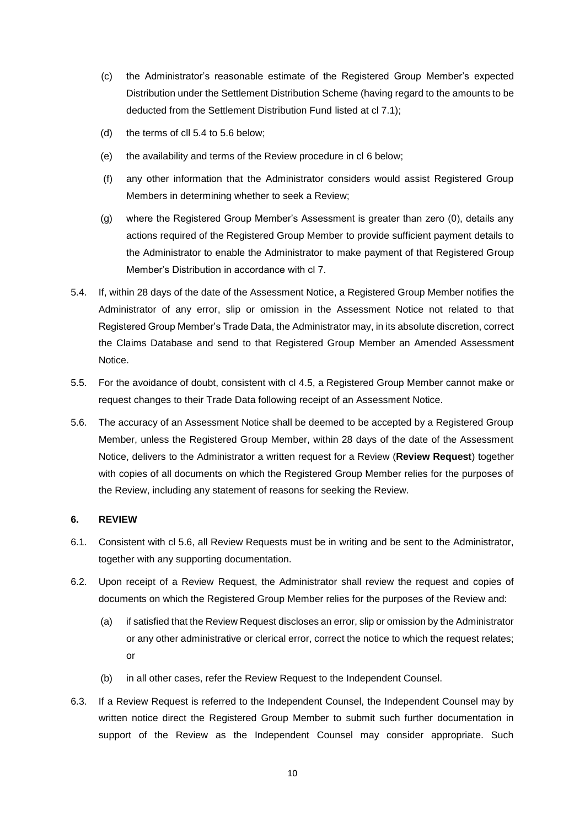- (c) the Administrator's reasonable estimate of the Registered Group Member's expected Distribution under the Settlement Distribution Scheme (having regard to the amounts to be deducted from the Settlement Distribution Fund listed at cl [7.1\)](#page-11-2);
- (d) the terms of cll [5.4](#page-9-1) to [5.6](#page-9-2) below;
- (e) the availability and terms of the Review procedure in cl [6](#page-9-0) below;
- (f) any other information that the Administrator considers would assist Registered Group Members in determining whether to seek a Review;
- (g) where the Registered Group Member's Assessment is greater than zero (0), details any actions required of the Registered Group Member to provide sufficient payment details to the Administrator to enable the Administrator to make payment of that Registered Group Member's Distribution in accordance with cl [7.](#page-11-0)
- <span id="page-9-1"></span>5.4. If, within 28 days of the date of the Assessment Notice, a Registered Group Member notifies the Administrator of any error, slip or omission in the Assessment Notice not related to that Registered Group Member's Trade Data, the Administrator may, in its absolute discretion, correct the Claims Database and send to that Registered Group Member an Amended Assessment Notice.
- 5.5. For the avoidance of doubt, consistent with cl [4.5,](#page-8-4) a Registered Group Member cannot make or request changes to their Trade Data following receipt of an Assessment Notice.
- <span id="page-9-2"></span>5.6. The accuracy of an Assessment Notice shall be deemed to be accepted by a Registered Group Member, unless the Registered Group Member, within 28 days of the date of the Assessment Notice, delivers to the Administrator a written request for a Review (**Review Request**) together with copies of all documents on which the Registered Group Member relies for the purposes of the Review, including any statement of reasons for seeking the Review.

#### <span id="page-9-0"></span>**6. REVIEW**

- 6.1. Consistent with cl [5.6,](#page-9-2) all Review Requests must be in writing and be sent to the Administrator, together with any supporting documentation.
- 6.2. Upon receipt of a Review Request, the Administrator shall review the request and copies of documents on which the Registered Group Member relies for the purposes of the Review and:
	- (a) if satisfied that the Review Request discloses an error, slip or omission by the Administrator or any other administrative or clerical error, correct the notice to which the request relates; or
	- (b) in all other cases, refer the Review Request to the Independent Counsel.
- <span id="page-9-3"></span>6.3. If a Review Request is referred to the Independent Counsel, the Independent Counsel may by written notice direct the Registered Group Member to submit such further documentation in support of the Review as the Independent Counsel may consider appropriate. Such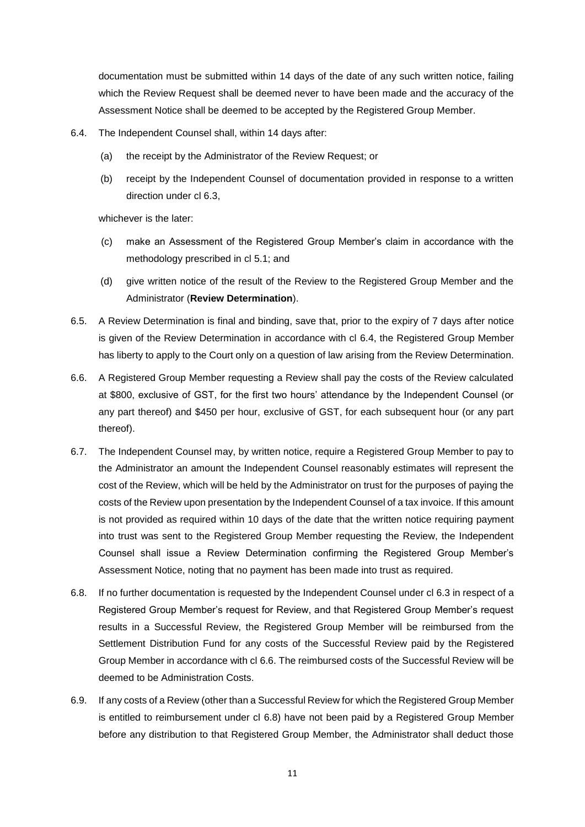documentation must be submitted within 14 days of the date of any such written notice, failing which the Review Request shall be deemed never to have been made and the accuracy of the Assessment Notice shall be deemed to be accepted by the Registered Group Member.

- <span id="page-10-0"></span>6.4. The Independent Counsel shall, within 14 days after:
	- (a) the receipt by the Administrator of the Review Request; or
	- (b) receipt by the Independent Counsel of documentation provided in response to a written direction under cl [6.3,](#page-9-3)

whichever is the later:

- (c) make an Assessment of the Registered Group Member's claim in accordance with the methodology prescribed in cl [5.1;](#page-8-3) and
- (d) give written notice of the result of the Review to the Registered Group Member and the Administrator (**Review Determination**).
- <span id="page-10-1"></span>6.5. A Review Determination is final and binding, save that, prior to the expiry of 7 days after notice is given of the Review Determination in accordance with cl [6.4,](#page-10-0) the Registered Group Member has liberty to apply to the Court only on a question of law arising from the Review Determination.
- <span id="page-10-2"></span>6.6. A Registered Group Member requesting a Review shall pay the costs of the Review calculated at \$800, exclusive of GST, for the first two hours' attendance by the Independent Counsel (or any part thereof) and \$450 per hour, exclusive of GST, for each subsequent hour (or any part thereof).
- 6.7. The Independent Counsel may, by written notice, require a Registered Group Member to pay to the Administrator an amount the Independent Counsel reasonably estimates will represent the cost of the Review, which will be held by the Administrator on trust for the purposes of paying the costs of the Review upon presentation by the Independent Counsel of a tax invoice. If this amount is not provided as required within 10 days of the date that the written notice requiring payment into trust was sent to the Registered Group Member requesting the Review, the Independent Counsel shall issue a Review Determination confirming the Registered Group Member's Assessment Notice, noting that no payment has been made into trust as required.
- <span id="page-10-3"></span>6.8. If no further documentation is requested by the Independent Counsel under cl [6.3](#page-9-3) in respect of a Registered Group Member's request for Review, and that Registered Group Member's request results in a Successful Review, the Registered Group Member will be reimbursed from the Settlement Distribution Fund for any costs of the Successful Review paid by the Registered Group Member in accordance with cl [6.6.](#page-10-2) The reimbursed costs of the Successful Review will be deemed to be Administration Costs.
- 6.9. If any costs of a Review (other than a Successful Review for which the Registered Group Member is entitled to reimbursement under cl [6.8\)](#page-10-3) have not been paid by a Registered Group Member before any distribution to that Registered Group Member, the Administrator shall deduct those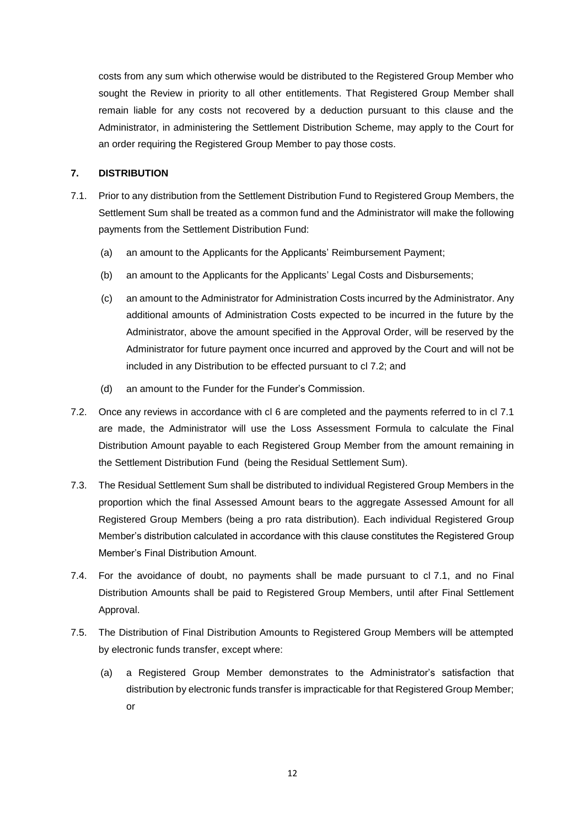costs from any sum which otherwise would be distributed to the Registered Group Member who sought the Review in priority to all other entitlements. That Registered Group Member shall remain liable for any costs not recovered by a deduction pursuant to this clause and the Administrator, in administering the Settlement Distribution Scheme, may apply to the Court for an order requiring the Registered Group Member to pay those costs.

#### <span id="page-11-0"></span>**7. DISTRIBUTION**

- <span id="page-11-6"></span><span id="page-11-2"></span>7.1. Prior to any distribution from the Settlement Distribution Fund to Registered Group Members, the Settlement Sum shall be treated as a common fund and the Administrator will make the following payments from the Settlement Distribution Fund:
	- (a) an amount to the Applicants for the Applicants' Reimbursement Payment;
	- (b) an amount to the Applicants for the Applicants' Legal Costs and Disbursements;
	- (c) an amount to the Administrator for Administration Costs incurred by the Administrator. Any additional amounts of Administration Costs expected to be incurred in the future by the Administrator, above the amount specified in the Approval Order, will be reserved by the Administrator for future payment once incurred and approved by the Court and will not be included in any Distribution to be effected pursuant to cl [7.2;](#page-11-3) and
	- (d) an amount to the Funder for the Funder's Commission.
- <span id="page-11-3"></span>7.2. Once any reviews in accordance with cl [6](#page-9-0) are completed and the payments referred to in cl [7.1](#page-11-2) are made, the Administrator will use the Loss Assessment Formula to calculate the Final Distribution Amount payable to each Registered Group Member from the amount remaining in the Settlement Distribution Fund (being the Residual Settlement Sum).
- <span id="page-11-1"></span>7.3. The Residual Settlement Sum shall be distributed to individual Registered Group Members in the proportion which the final Assessed Amount bears to the aggregate Assessed Amount for all Registered Group Members (being a pro rata distribution). Each individual Registered Group Member's distribution calculated in accordance with this clause constitutes the Registered Group Member's Final Distribution Amount.
- <span id="page-11-5"></span>7.4. For the avoidance of doubt, no payments shall be made pursuant to cl [7.1,](#page-11-2) and no Final Distribution Amounts shall be paid to Registered Group Members, until after Final Settlement Approval.
- <span id="page-11-4"></span>7.5. The Distribution of Final Distribution Amounts to Registered Group Members will be attempted by electronic funds transfer, except where:
	- (a) a Registered Group Member demonstrates to the Administrator's satisfaction that distribution by electronic funds transfer is impracticable for that Registered Group Member; or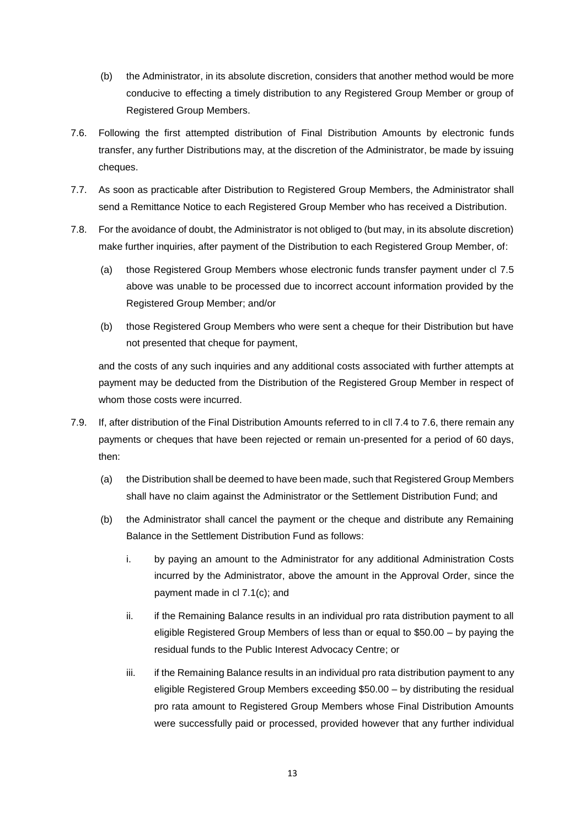- (b) the Administrator, in its absolute discretion, considers that another method would be more conducive to effecting a timely distribution to any Registered Group Member or group of Registered Group Members.
- <span id="page-12-0"></span>7.6. Following the first attempted distribution of Final Distribution Amounts by electronic funds transfer, any further Distributions may, at the discretion of the Administrator, be made by issuing cheques.
- 7.7. As soon as practicable after Distribution to Registered Group Members, the Administrator shall send a Remittance Notice to each Registered Group Member who has received a Distribution.
- 7.8. For the avoidance of doubt, the Administrator is not obliged to (but may, in its absolute discretion) make further inquiries, after payment of the Distribution to each Registered Group Member, of:
	- (a) those Registered Group Members whose electronic funds transfer payment under cl [7.5](#page-11-4) above was unable to be processed due to incorrect account information provided by the Registered Group Member; and/or
	- (b) those Registered Group Members who were sent a cheque for their Distribution but have not presented that cheque for payment,

and the costs of any such inquiries and any additional costs associated with further attempts at payment may be deducted from the Distribution of the Registered Group Member in respect of whom those costs were incurred.

- 7.9. If, after distribution of the Final Distribution Amounts referred to in cll [7.4](#page-11-5) to [7.6,](#page-12-0) there remain any payments or cheques that have been rejected or remain un-presented for a period of 60 days, then:
	- (a) the Distribution shall be deemed to have been made, such that Registered Group Members shall have no claim against the Administrator or the Settlement Distribution Fund; and
	- (b) the Administrator shall cancel the payment or the cheque and distribute any Remaining Balance in the Settlement Distribution Fund as follows:
		- i. by paying an amount to the Administrator for any additional Administration Costs incurred by the Administrator, above the amount in the Approval Order, since the payment made in cl [7.1\(c\);](#page-11-6) and
		- ii. if the Remaining Balance results in an individual pro rata distribution payment to all eligible Registered Group Members of less than or equal to \$50.00 – by paying the residual funds to the Public Interest Advocacy Centre; or
		- iii. if the Remaining Balance results in an individual pro rata distribution payment to any eligible Registered Group Members exceeding \$50.00 – by distributing the residual pro rata amount to Registered Group Members whose Final Distribution Amounts were successfully paid or processed, provided however that any further individual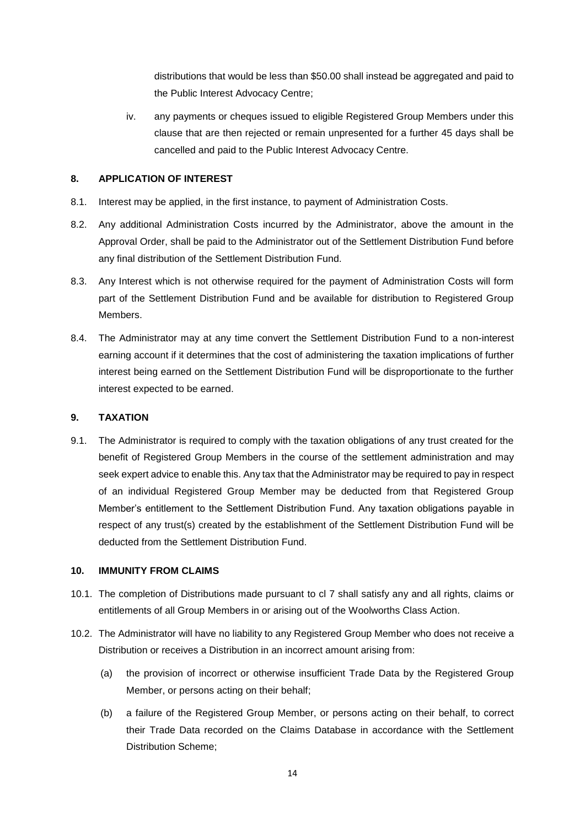distributions that would be less than \$50.00 shall instead be aggregated and paid to the Public Interest Advocacy Centre;

iv. any payments or cheques issued to eligible Registered Group Members under this clause that are then rejected or remain unpresented for a further 45 days shall be cancelled and paid to the Public Interest Advocacy Centre.

### <span id="page-13-0"></span>**8. APPLICATION OF INTEREST**

- 8.1. Interest may be applied, in the first instance, to payment of Administration Costs.
- 8.2. Any additional Administration Costs incurred by the Administrator, above the amount in the Approval Order, shall be paid to the Administrator out of the Settlement Distribution Fund before any final distribution of the Settlement Distribution Fund.
- 8.3. Any Interest which is not otherwise required for the payment of Administration Costs will form part of the Settlement Distribution Fund and be available for distribution to Registered Group Members.
- 8.4. The Administrator may at any time convert the Settlement Distribution Fund to a non-interest earning account if it determines that the cost of administering the taxation implications of further interest being earned on the Settlement Distribution Fund will be disproportionate to the further interest expected to be earned.

#### <span id="page-13-1"></span>**9. TAXATION**

9.1. The Administrator is required to comply with the taxation obligations of any trust created for the benefit of Registered Group Members in the course of the settlement administration and may seek expert advice to enable this. Any tax that the Administrator may be required to pay in respect of an individual Registered Group Member may be deducted from that Registered Group Member's entitlement to the Settlement Distribution Fund. Any taxation obligations payable in respect of any trust(s) created by the establishment of the Settlement Distribution Fund will be deducted from the Settlement Distribution Fund.

#### <span id="page-13-2"></span>**10. IMMUNITY FROM CLAIMS**

- 10.1. The completion of Distributions made pursuant to cl [7](#page-11-0) shall satisfy any and all rights, claims or entitlements of all Group Members in or arising out of the Woolworths Class Action.
- 10.2. The Administrator will have no liability to any Registered Group Member who does not receive a Distribution or receives a Distribution in an incorrect amount arising from:
	- (a) the provision of incorrect or otherwise insufficient Trade Data by the Registered Group Member, or persons acting on their behalf;
	- (b) a failure of the Registered Group Member, or persons acting on their behalf, to correct their Trade Data recorded on the Claims Database in accordance with the Settlement Distribution Scheme;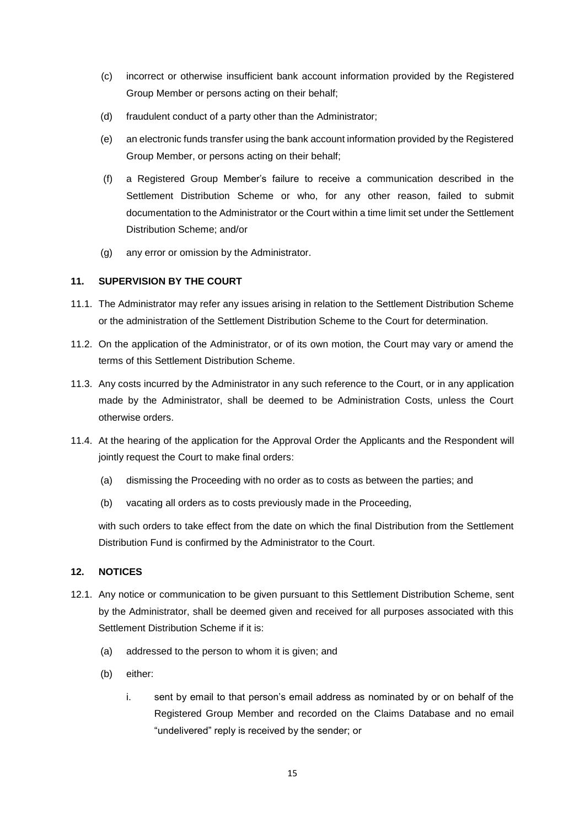- (c) incorrect or otherwise insufficient bank account information provided by the Registered Group Member or persons acting on their behalf;
- (d) fraudulent conduct of a party other than the Administrator;
- (e) an electronic funds transfer using the bank account information provided by the Registered Group Member, or persons acting on their behalf;
- (f) a Registered Group Member's failure to receive a communication described in the Settlement Distribution Scheme or who, for any other reason, failed to submit documentation to the Administrator or the Court within a time limit set under the Settlement Distribution Scheme; and/or
- (g) any error or omission by the Administrator.

### <span id="page-14-0"></span>**11. SUPERVISION BY THE COURT**

- 11.1. The Administrator may refer any issues arising in relation to the Settlement Distribution Scheme or the administration of the Settlement Distribution Scheme to the Court for determination.
- 11.2. On the application of the Administrator, or of its own motion, the Court may vary or amend the terms of this Settlement Distribution Scheme.
- 11.3. Any costs incurred by the Administrator in any such reference to the Court, or in any application made by the Administrator, shall be deemed to be Administration Costs, unless the Court otherwise orders.
- 11.4. At the hearing of the application for the Approval Order the Applicants and the Respondent will jointly request the Court to make final orders:
	- (a) dismissing the Proceeding with no order as to costs as between the parties; and
	- (b) vacating all orders as to costs previously made in the Proceeding,

with such orders to take effect from the date on which the final Distribution from the Settlement Distribution Fund is confirmed by the Administrator to the Court.

#### <span id="page-14-1"></span>**12. NOTICES**

- <span id="page-14-2"></span>12.1. Any notice or communication to be given pursuant to this Settlement Distribution Scheme, sent by the Administrator, shall be deemed given and received for all purposes associated with this Settlement Distribution Scheme if it is:
	- (a) addressed to the person to whom it is given; and
	- (b) either:
		- i. sent by email to that person's email address as nominated by or on behalf of the Registered Group Member and recorded on the Claims Database and no email "undelivered" reply is received by the sender; or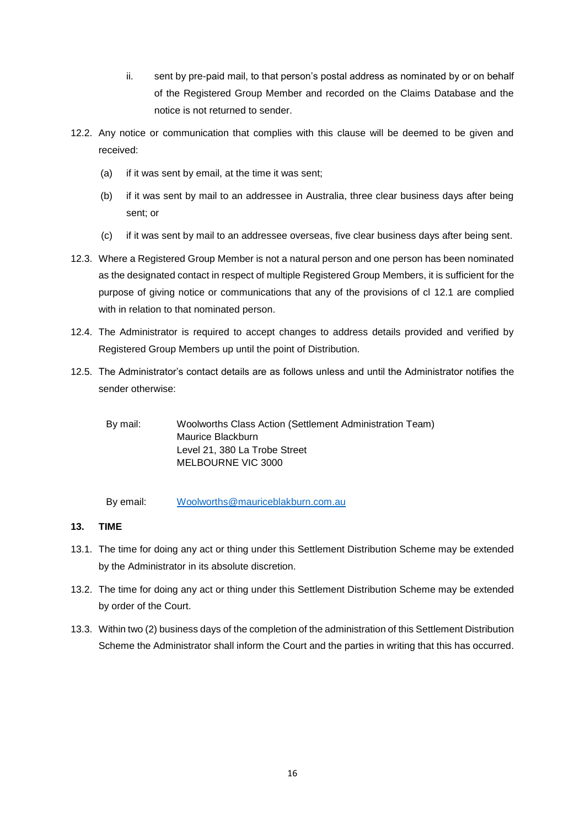- ii. sent by pre-paid mail, to that person's postal address as nominated by or on behalf of the Registered Group Member and recorded on the Claims Database and the notice is not returned to sender.
- 12.2. Any notice or communication that complies with this clause will be deemed to be given and received:
	- (a) if it was sent by email, at the time it was sent;
	- (b) if it was sent by mail to an addressee in Australia, three clear business days after being sent; or
	- (c) if it was sent by mail to an addressee overseas, five clear business days after being sent.
- 12.3. Where a Registered Group Member is not a natural person and one person has been nominated as the designated contact in respect of multiple Registered Group Members, it is sufficient for the purpose of giving notice or communications that any of the provisions of cl [12.1](#page-14-2) are complied with in relation to that nominated person.
- 12.4. The Administrator is required to accept changes to address details provided and verified by Registered Group Members up until the point of Distribution.
- 12.5. The Administrator's contact details are as follows unless and until the Administrator notifies the sender otherwise:

By mail: Woolworths Class Action (Settlement Administration Team) Maurice Blackburn Level 21, 380 La Trobe Street MELBOURNE VIC 3000

By email: [Woolworths@mauriceblakburn.com.au](mailto:Woolworths@mauriceblakburn.com.au)

## <span id="page-15-0"></span>**13. TIME**

- 13.1. The time for doing any act or thing under this Settlement Distribution Scheme may be extended by the Administrator in its absolute discretion.
- 13.2. The time for doing any act or thing under this Settlement Distribution Scheme may be extended by order of the Court.
- 13.3. Within two (2) business days of the completion of the administration of this Settlement Distribution Scheme the Administrator shall inform the Court and the parties in writing that this has occurred.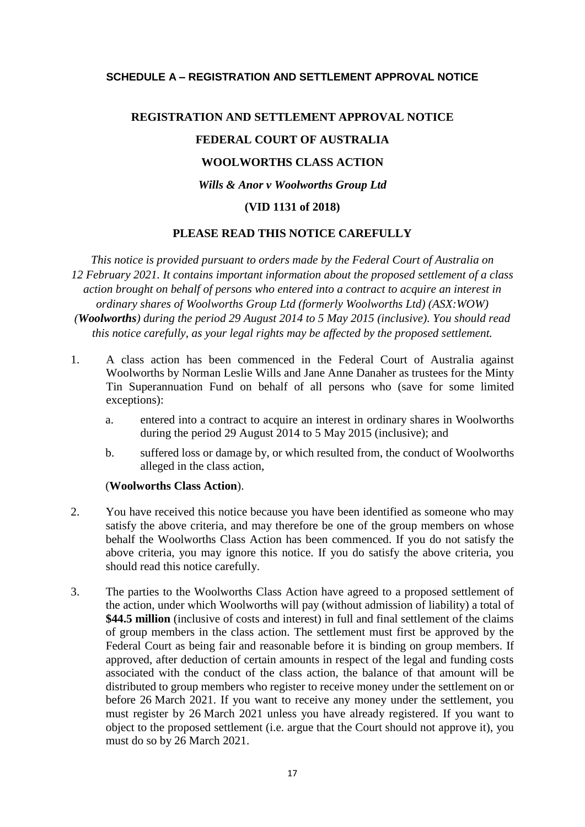## <span id="page-16-0"></span>**SCHEDULE A – REGISTRATION AND SETTLEMENT APPROVAL NOTICE**

# **REGISTRATION AND SETTLEMENT APPROVAL NOTICE FEDERAL COURT OF AUSTRALIA WOOLWORTHS CLASS ACTION** *Wills & Anor v Woolworths Group Ltd* **(VID 1131 of 2018)**

#### **PLEASE READ THIS NOTICE CAREFULLY**

*This notice is provided pursuant to orders made by the Federal Court of Australia on 12 February 2021. It contains important information about the proposed settlement of a class action brought on behalf of persons who entered into a contract to acquire an interest in ordinary shares of Woolworths Group Ltd (formerly Woolworths Ltd) (ASX:WOW) (Woolworths) during the period 29 August 2014 to 5 May 2015 (inclusive). You should read this notice carefully, as your legal rights may be affected by the proposed settlement.*

- 1. A class action has been commenced in the Federal Court of Australia against Woolworths by Norman Leslie Wills and Jane Anne Danaher as trustees for the Minty Tin Superannuation Fund on behalf of all persons who (save for some limited exceptions):
	- a. entered into a contract to acquire an interest in ordinary shares in Woolworths during the period 29 August 2014 to 5 May 2015 (inclusive); and
	- b. suffered loss or damage by, or which resulted from, the conduct of Woolworths alleged in the class action,

#### (**Woolworths Class Action**).

- 2. You have received this notice because you have been identified as someone who may satisfy the above criteria, and may therefore be one of the group members on whose behalf the Woolworths Class Action has been commenced. If you do not satisfy the above criteria, you may ignore this notice. If you do satisfy the above criteria, you should read this notice carefully.
- 3. The parties to the Woolworths Class Action have agreed to a proposed settlement of the action, under which Woolworths will pay (without admission of liability) a total of **\$44.5 million** (inclusive of costs and interest) in full and final settlement of the claims of group members in the class action. The settlement must first be approved by the Federal Court as being fair and reasonable before it is binding on group members. If approved, after deduction of certain amounts in respect of the legal and funding costs associated with the conduct of the class action, the balance of that amount will be distributed to group members who register to receive money under the settlement on or before 26 March 2021. If you want to receive any money under the settlement, you must register by 26 March 2021 unless you have already registered. If you want to object to the proposed settlement (i.e. argue that the Court should not approve it), you must do so by 26 March 2021.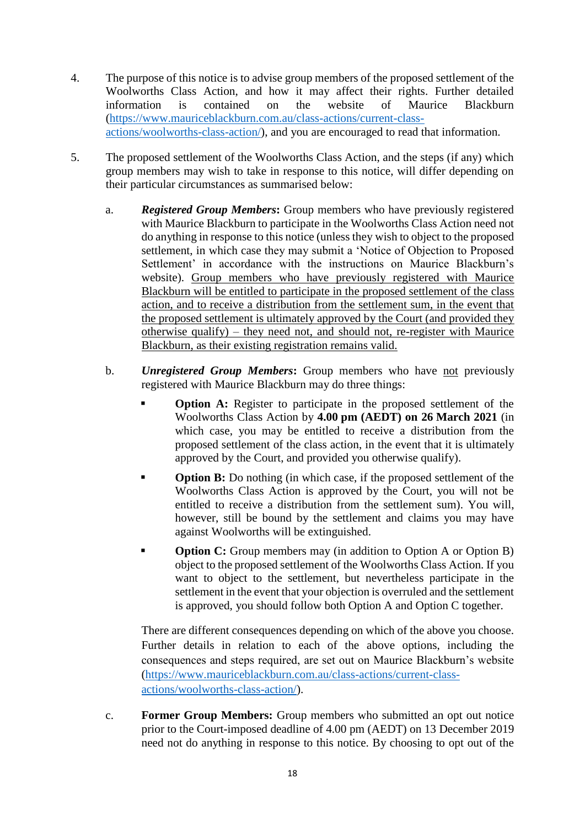- 4. The purpose of this notice is to advise group members of the proposed settlement of the Woolworths Class Action, and how it may affect their rights. Further detailed information is contained on the website of Maurice Blackburn [\(https://www.mauriceblackburn.com.au/class-actions/current-class](https://www.mauriceblackburn.com.au/class-actions/current-class-actions/woolworths-class-action/)[actions/woolworths-class-action/\)](https://www.mauriceblackburn.com.au/class-actions/current-class-actions/woolworths-class-action/), and you are encouraged to read that information.
- 5. The proposed settlement of the Woolworths Class Action, and the steps (if any) which group members may wish to take in response to this notice, will differ depending on their particular circumstances as summarised below:
	- a. *Registered Group Members***:** Group members who have previously registered with Maurice Blackburn to participate in the Woolworths Class Action need not do anything in response to this notice (unless they wish to object to the proposed settlement, in which case they may submit a 'Notice of Objection to Proposed Settlement' in accordance with the instructions on Maurice Blackburn's website). Group members who have previously registered with Maurice Blackburn will be entitled to participate in the proposed settlement of the class action, and to receive a distribution from the settlement sum, in the event that the proposed settlement is ultimately approved by the Court (and provided they otherwise qualify) – they need not, and should not, re-register with Maurice Blackburn, as their existing registration remains valid.
	- b. *Unregistered Group Members***:** Group members who have not previously registered with Maurice Blackburn may do three things:
		- **Option A:** Register to participate in the proposed settlement of the Woolworths Class Action by **4.00 pm (AEDT) on 26 March 2021** (in which case, you may be entitled to receive a distribution from the proposed settlement of the class action, in the event that it is ultimately approved by the Court, and provided you otherwise qualify).
		- **Option B:** Do nothing (in which case, if the proposed settlement of the Woolworths Class Action is approved by the Court, you will not be entitled to receive a distribution from the settlement sum). You will, however, still be bound by the settlement and claims you may have against Woolworths will be extinguished.
		- **Option C:** Group members may (in addition to Option A or Option B) object to the proposed settlement of the Woolworths Class Action. If you want to object to the settlement, but nevertheless participate in the settlement in the event that your objection is overruled and the settlement is approved, you should follow both Option A and Option C together.

There are different consequences depending on which of the above you choose. Further details in relation to each of the above options, including the consequences and steps required, are set out on Maurice Blackburn's website [\(https://www.mauriceblackburn.com.au/class-actions/current-class](https://www.mauriceblackburn.com.au/class-actions/current-class-actions/woolworths-class-action/)[actions/woolworths-class-action/\)](https://www.mauriceblackburn.com.au/class-actions/current-class-actions/woolworths-class-action/).

c. **Former Group Members:** Group members who submitted an opt out notice prior to the Court-imposed deadline of 4.00 pm (AEDT) on 13 December 2019 need not do anything in response to this notice. By choosing to opt out of the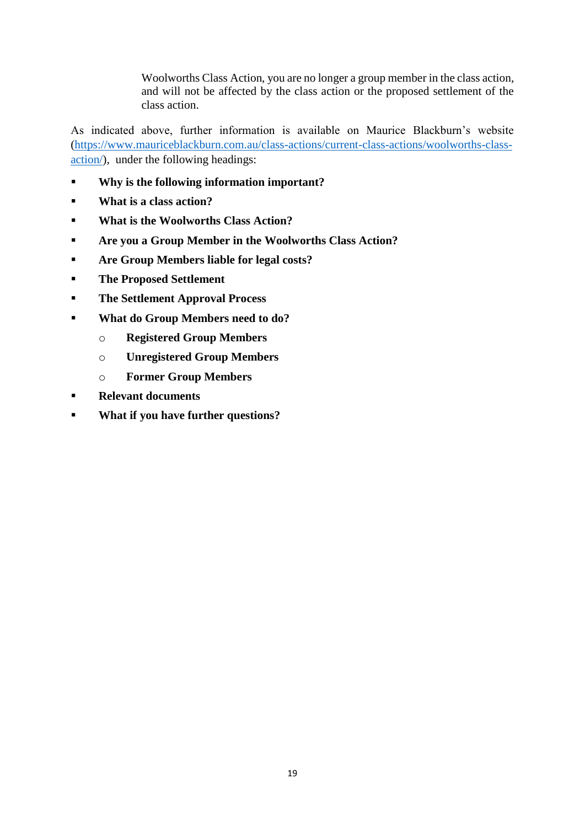Woolworths Class Action, you are no longer a group member in the class action, and will not be affected by the class action or the proposed settlement of the class action.

As indicated above, further information is available on Maurice Blackburn's website [\(https://www.mauriceblackburn.com.au/class-actions/current-class-actions/woolworths-class](https://www.mauriceblackburn.com.au/class-actions/current-class-actions/woolworths-class-action/)[action/\)](https://www.mauriceblackburn.com.au/class-actions/current-class-actions/woolworths-class-action/), under the following headings:

- **Why is the following information important?**
- **What is a class action?**
- **What is the Woolworths Class Action?**
- **Are you a Group Member in the Woolworths Class Action?**
- **Are Group Members liable for legal costs?**
- **The Proposed Settlement**
- **The Settlement Approval Process**
- **What do Group Members need to do?**
	- o **Registered Group Members**
	- o **Unregistered Group Members**
	- o **Former Group Members**
- **Relevant documents**
- **What if you have further questions?**